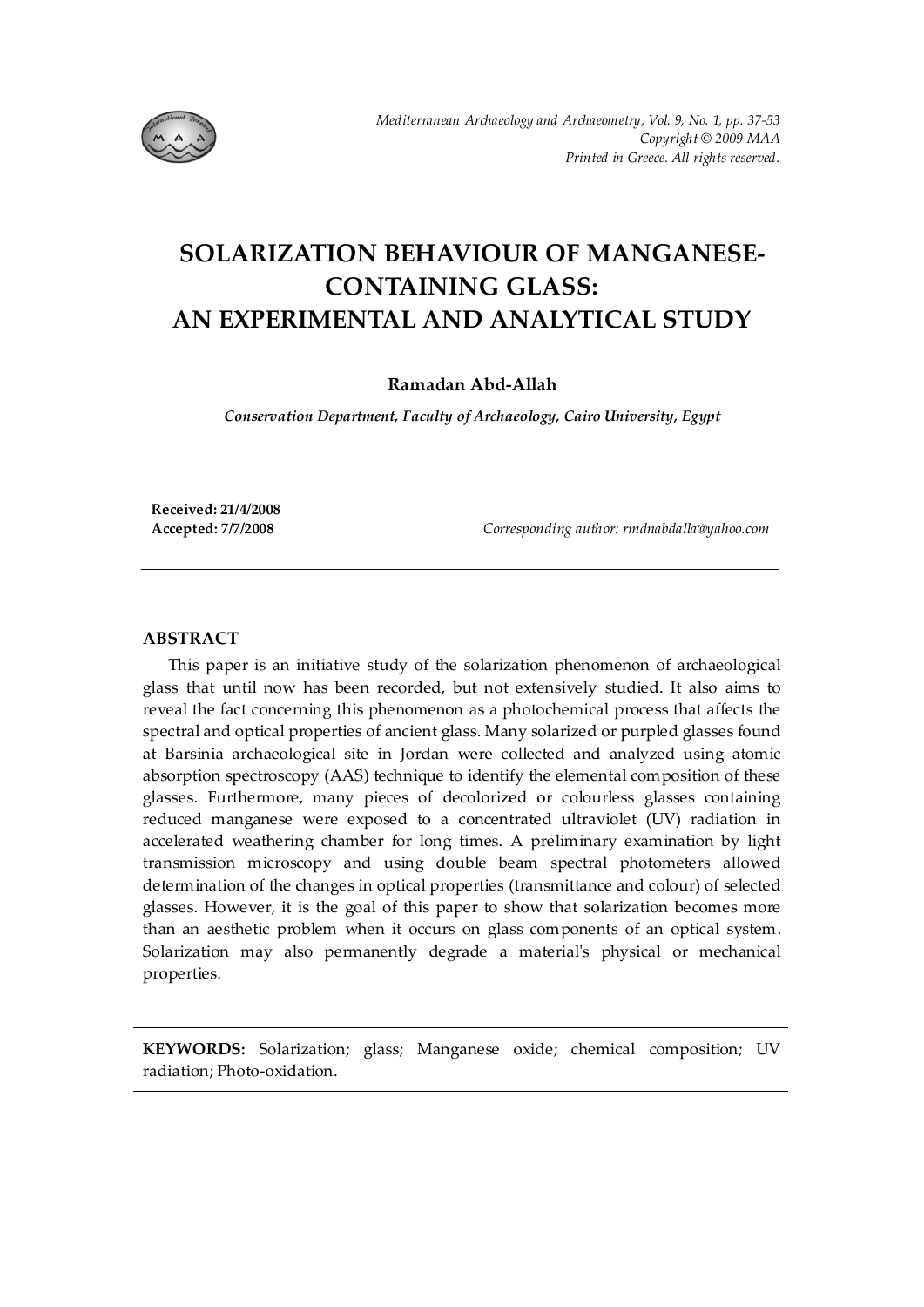

# **SOLARIZATION BEHAVIOUR OF MANGANESE-CONTAINING GLASS: AN EXPERIMENTAL AND ANALYTICAL STUDY**

# **Ramadan Abd-Allah**

*Conservation Department, Faculty of Archaeology, Cairo University, Egypt* 

**Received: 21/4/2008** 

**Accepted: 7/7/2008** *Corresponding author: rmdnabdalla@yahoo.com* 

## **ABSTRACT**

 This paper is an initiative study of the solarization phenomenon of archaeological glass that until now has been recorded, but not extensively studied. It also aims to reveal the fact concerning this phenomenon as a photochemical process that affects the spectral and optical properties of ancient glass. Many solarized or purpled glasses found at Barsinia archaeological site in Jordan were collected and analyzed using atomic absorption spectroscopy (AAS) technique to identify the elemental composition of these glasses. Furthermore, many pieces of decolorized or colourless glasses containing reduced manganese were exposed to a concentrated ultraviolet (UV) radiation in accelerated weathering chamber for long times. A preliminary examination by light transmission microscopy and using double beam spectral photometers allowed determination of the changes in optical properties (transmittance and colour) of selected glasses. However, it is the goal of this paper to show that solarization becomes more than an aesthetic problem when it occurs on glass components of an optical system. Solarization may also permanently degrade a material's physical or mechanical properties.

**KEYWORDS:** Solarization; glass; Manganese oxide; chemical composition; UV radiation; Photo-oxidation.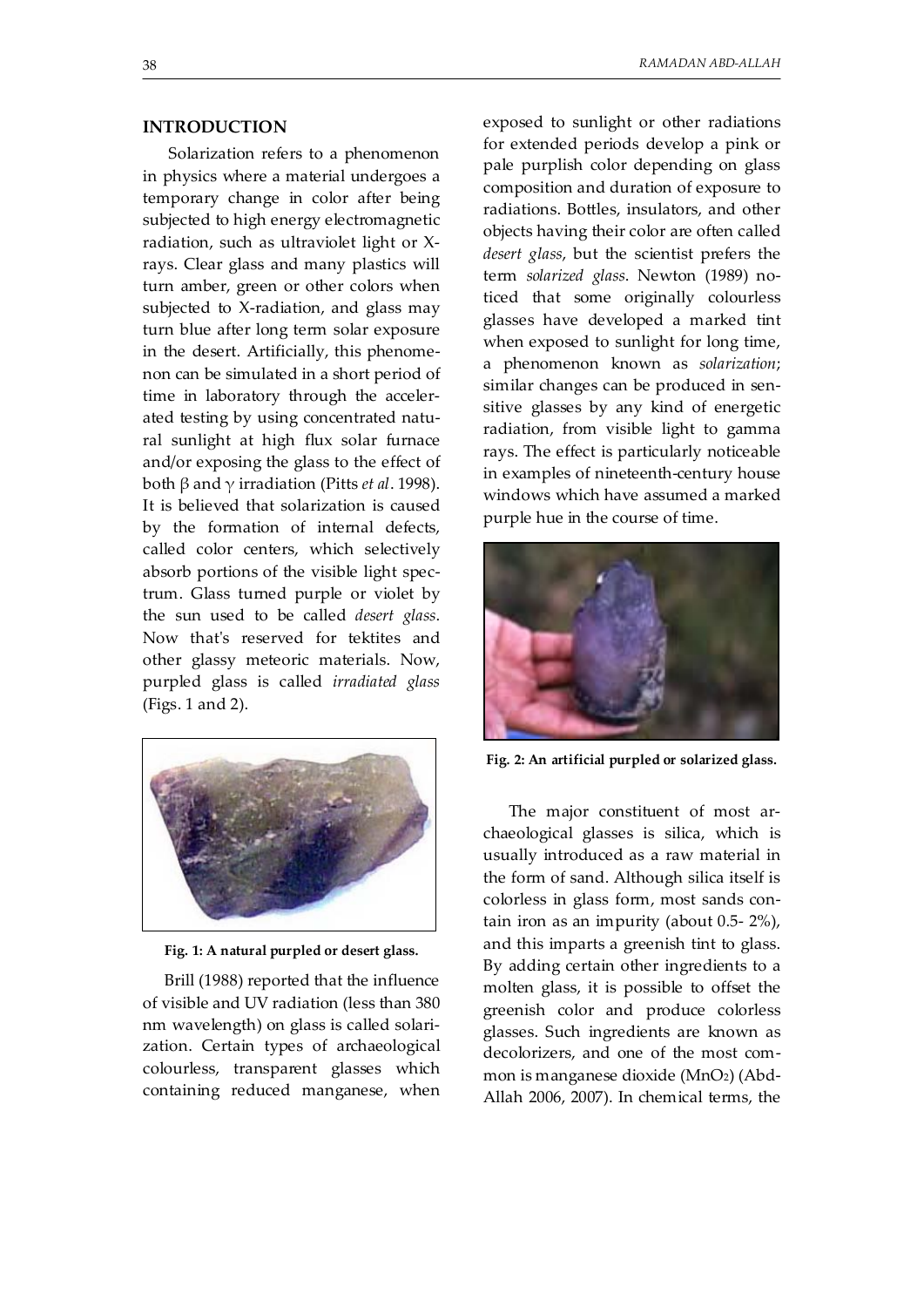## **INTRODUCTION**

 Solarization refers to a phenomenon in physics where a material undergoes a temporary change in color after being subjected to high energy electromagnetic radiation, such as ultraviolet light or Xrays. Clear glass and many plastics will turn amber, green or other colors when subjected to X-radiation, and glass may turn blue after long term solar exposure in the desert. Artificially, this phenomenon can be simulated in a short period of time in laboratory through the accelerated testing by using concentrated natural sunlight at high flux solar furnace and/or exposing the glass to the effect of both β and γ irradiation (Pitts *et al*. 1998). It is believed that solarization is caused by the formation of internal defects, called color centers, which selectively absorb portions of the visible light spectrum. Glass turned purple or violet by the sun used to be called *desert glass*. Now that's reserved for tektites and other glassy meteoric materials. Now, purpled glass is called *irradiated glass* (Figs. 1 and 2).



**Fig. 1: A natural purpled or desert glass.** 

Brill (1988) reported that the influence of visible and UV radiation (less than 380 nm wavelength) on glass is called solarization. Certain types of archaeological colourless, transparent glasses which containing reduced manganese, when exposed to sunlight or other radiations for extended periods develop a pink or pale purplish color depending on glass composition and duration of exposure to radiations. Bottles, insulators, and other objects having their color are often called *desert glass*, but the scientist prefers the term *solarized glass*. Newton (1989) noticed that some originally colourless glasses have developed a marked tint when exposed to sunlight for long time, a phenomenon known as *solarization*; similar changes can be produced in sensitive glasses by any kind of energetic radiation, from visible light to gamma rays. The effect is particularly noticeable in examples of nineteenth-century house windows which have assumed a marked purple hue in the course of time.



**Fig. 2: An artificial purpled or solarized glass.** 

 The major constituent of most archaeological glasses is silica, which is usually introduced as a raw material in the form of sand. Although silica itself is colorless in glass form, most sands contain iron as an impurity (about 0.5- 2%), and this imparts a greenish tint to glass. By adding certain other ingredients to a molten glass, it is possible to offset the greenish color and produce colorless glasses. Such ingredients are known as decolorizers, and one of the most common is manganese dioxide (MnO2) (Abd-Allah 2006, 2007). In chemical terms, the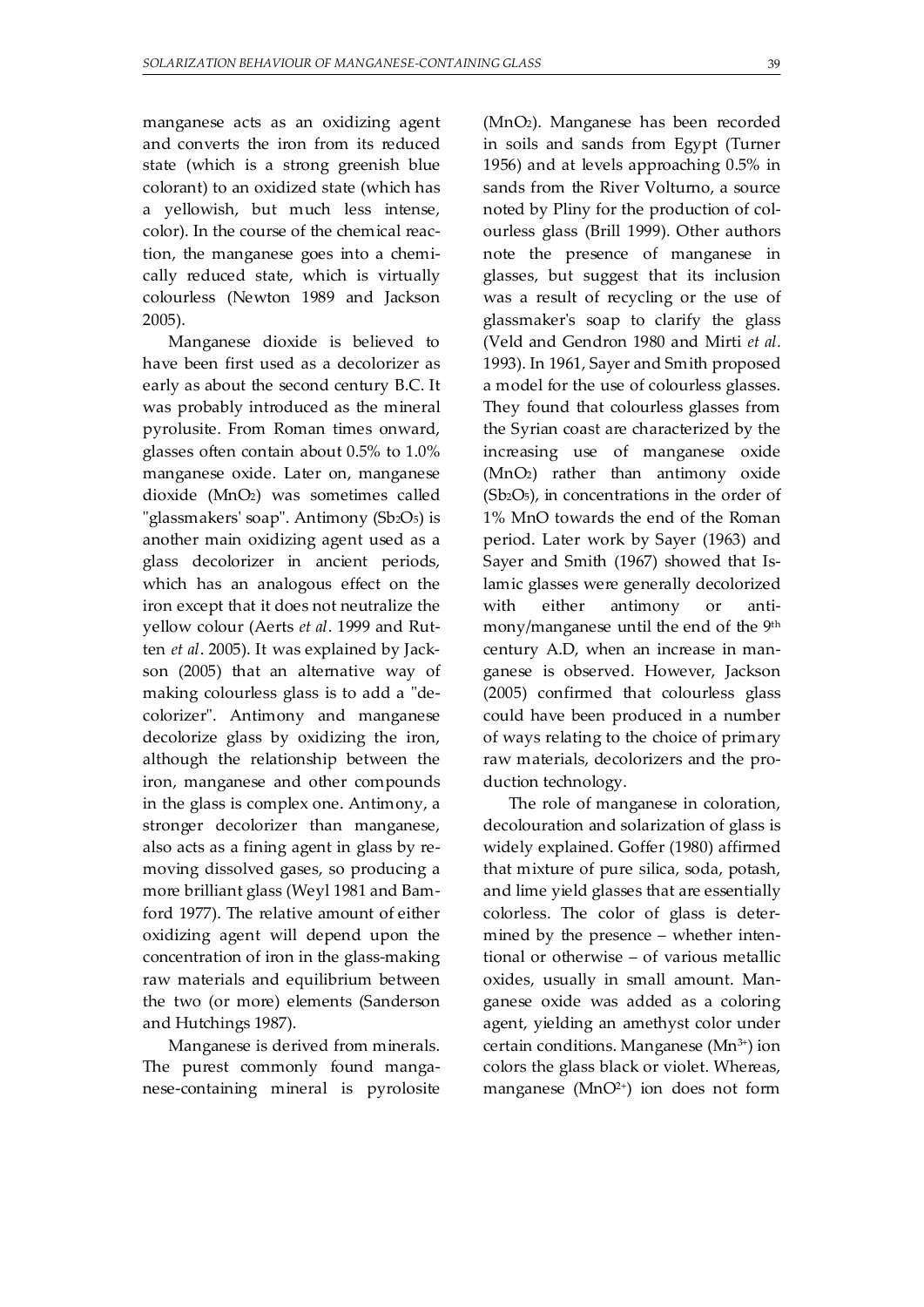manganese acts as an oxidizing agent and converts the iron from its reduced state (which is a strong greenish blue colorant) to an oxidized state (which has a yellowish, but much less intense, color). In the course of the chemical reaction, the manganese goes into a chemically reduced state, which is virtually colourless (Newton 1989 and Jackson 2005).

 Manganese dioxide is believed to have been first used as a decolorizer as early as about the second century B.C. It was probably introduced as the mineral pyrolusite. From Roman times onward, glasses often contain about 0.5% to 1.0% manganese oxide. Later on, manganese dioxide (MnO2) was sometimes called "glassmakers' soap". Antimony (Sb2O<sub>5</sub>) is another main oxidizing agent used as a glass decolorizer in ancient periods, which has an analogous effect on the iron except that it does not neutralize the yellow colour (Aerts *et al*. 1999 and Rutten *et al*. 2005). It was explained by Jackson (2005) that an alternative way of making colourless glass is to add a "decolorizer". Antimony and manganese decolorize glass by oxidizing the iron, although the relationship between the iron, manganese and other compounds in the glass is complex one. Antimony, a stronger decolorizer than manganese, also acts as a fining agent in glass by removing dissolved gases, so producing a more brilliant glass (Weyl 1981 and Bamford 1977). The relative amount of either oxidizing agent will depend upon the concentration of iron in the glass-making raw materials and equilibrium between the two (or more) elements (Sanderson and Hutchings 1987).

 Manganese is derived from minerals. The purest commonly found manganese-containing mineral is pyrolosite (MnO2). Manganese has been recorded in soils and sands from Egypt (Turner 1956) and at levels approaching 0.5% in sands from the River Volturno, a source noted by Pliny for the production of colourless glass (Brill 1999). Other authors note the presence of manganese in glasses, but suggest that its inclusion was a result of recycling or the use of glassmaker's soap to clarify the glass (Veld and Gendron 1980 and Mirti *et al.* 1993). In 1961, Sayer and Smith proposed a model for the use of colourless glasses. They found that colourless glasses from the Syrian coast are characterized by the increasing use of manganese oxide (MnO2) rather than antimony oxide  $(Sb<sub>2</sub>O<sub>5</sub>)$ , in concentrations in the order of 1% MnO towards the end of the Roman period. Later work by Sayer (1963) and Sayer and Smith (1967) showed that Islamic glasses were generally decolorized with either antimony or antimony/manganese until the end of the 9th century A.D, when an increase in manganese is observed. However, Jackson (2005) confirmed that colourless glass could have been produced in a number of ways relating to the choice of primary raw materials, decolorizers and the production technology.

 The role of manganese in coloration, decolouration and solarization of glass is widely explained. Goffer (1980) affirmed that mixture of pure silica, soda, potash, and lime yield glasses that are essentially colorless. The color of glass is determined by the presence – whether intentional or otherwise – of various metallic oxides, usually in small amount. Manganese oxide was added as a coloring agent, yielding an amethyst color under certain conditions. Manganese (Mn<sup>3+</sup>) ion colors the glass black or violet. Whereas, manganese ( $MnO<sup>2+</sup>$ ) ion does not form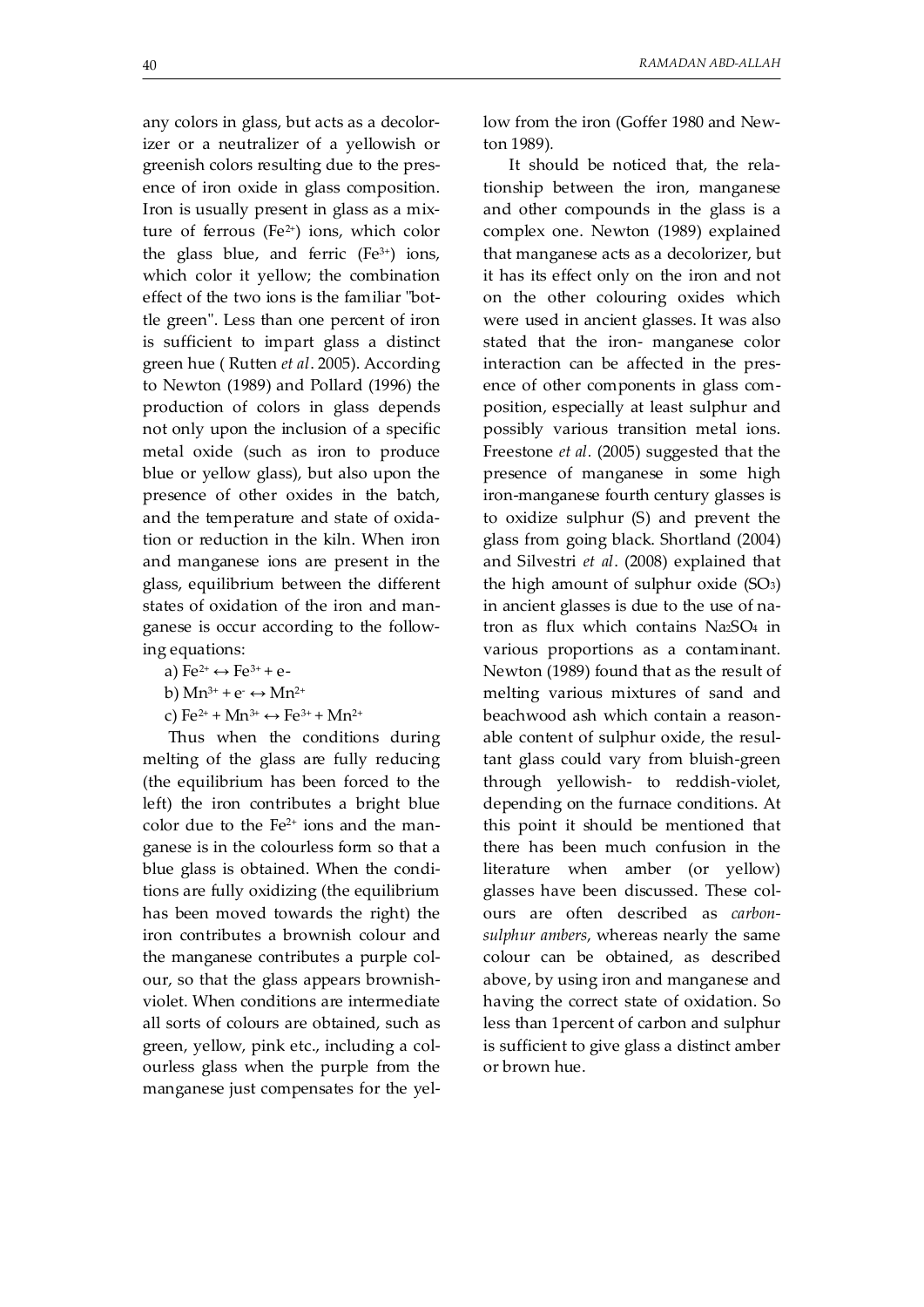any colors in glass, but acts as a decolorizer or a neutralizer of a yellowish or greenish colors resulting due to the presence of iron oxide in glass composition. Iron is usually present in glass as a mixture of ferrous (Fe $2+$ ) ions, which color the glass blue, and ferric  $(Fe<sup>3+</sup>)$  ions, which color it yellow; the combination effect of the two ions is the familiar "bottle green". Less than one percent of iron is sufficient to impart glass a distinct green hue ( Rutten *et al*. 2005). According to Newton (1989) and Pollard (1996) the production of colors in glass depends not only upon the inclusion of a specific metal oxide (such as iron to produce blue or yellow glass), but also upon the presence of other oxides in the batch, and the temperature and state of oxidation or reduction in the kiln. When iron and manganese ions are present in the glass, equilibrium between the different states of oxidation of the iron and manganese is occur according to the following equations:

- a)  $Fe^{2+} \leftrightarrow Fe^{3+} + e^-$
- b)  $Mn^{3+} + e^- \leftrightarrow Mn^{2+}$

c)  $Fe^{2+} + Mn^{3+} \leftrightarrow Fe^{3+} + Mn^{2+}$ 

 Thus when the conditions during melting of the glass are fully reducing (the equilibrium has been forced to the left) the iron contributes a bright blue color due to the  $Fe<sup>2+</sup>$  ions and the manganese is in the colourless form so that a blue glass is obtained. When the conditions are fully oxidizing (the equilibrium has been moved towards the right) the iron contributes a brownish colour and the manganese contributes a purple colour, so that the glass appears brownishviolet. When conditions are intermediate all sorts of colours are obtained, such as green, yellow, pink etc., including a colourless glass when the purple from the manganese just compensates for the yellow from the iron (Goffer 1980 and Newton 1989)*.* 

 It should be noticed that, the relationship between the iron, manganese and other compounds in the glass is a complex one. Newton (1989) explained that manganese acts as a decolorizer, but it has its effect only on the iron and not on the other colouring oxides which were used in ancient glasses. It was also stated that the iron- manganese color interaction can be affected in the presence of other components in glass composition, especially at least sulphur and possibly various transition metal ions. Freestone *et al.* (2005) suggested that the presence of manganese in some high iron-manganese fourth century glasses is to oxidize sulphur (S) and prevent the glass from going black. Shortland (2004) and Silvestri *et al*. (2008) explained that the high amount of sulphur oxide (SO3) in ancient glasses is due to the use of natron as flux which contains Na2SO4 in various proportions as a contaminant. Newton (1989) found that as the result of melting various mixtures of sand and beachwood ash which contain a reasonable content of sulphur oxide, the resultant glass could vary from bluish-green through yellowish- to reddish-violet, depending on the furnace conditions. At this point it should be mentioned that there has been much confusion in the literature when amber (or yellow) glasses have been discussed. These colours are often described as *carbonsulphur ambers*, whereas nearly the same colour can be obtained, as described above, by using iron and manganese and having the correct state of oxidation. So less than 1percent of carbon and sulphur is sufficient to give glass a distinct amber or brown hue.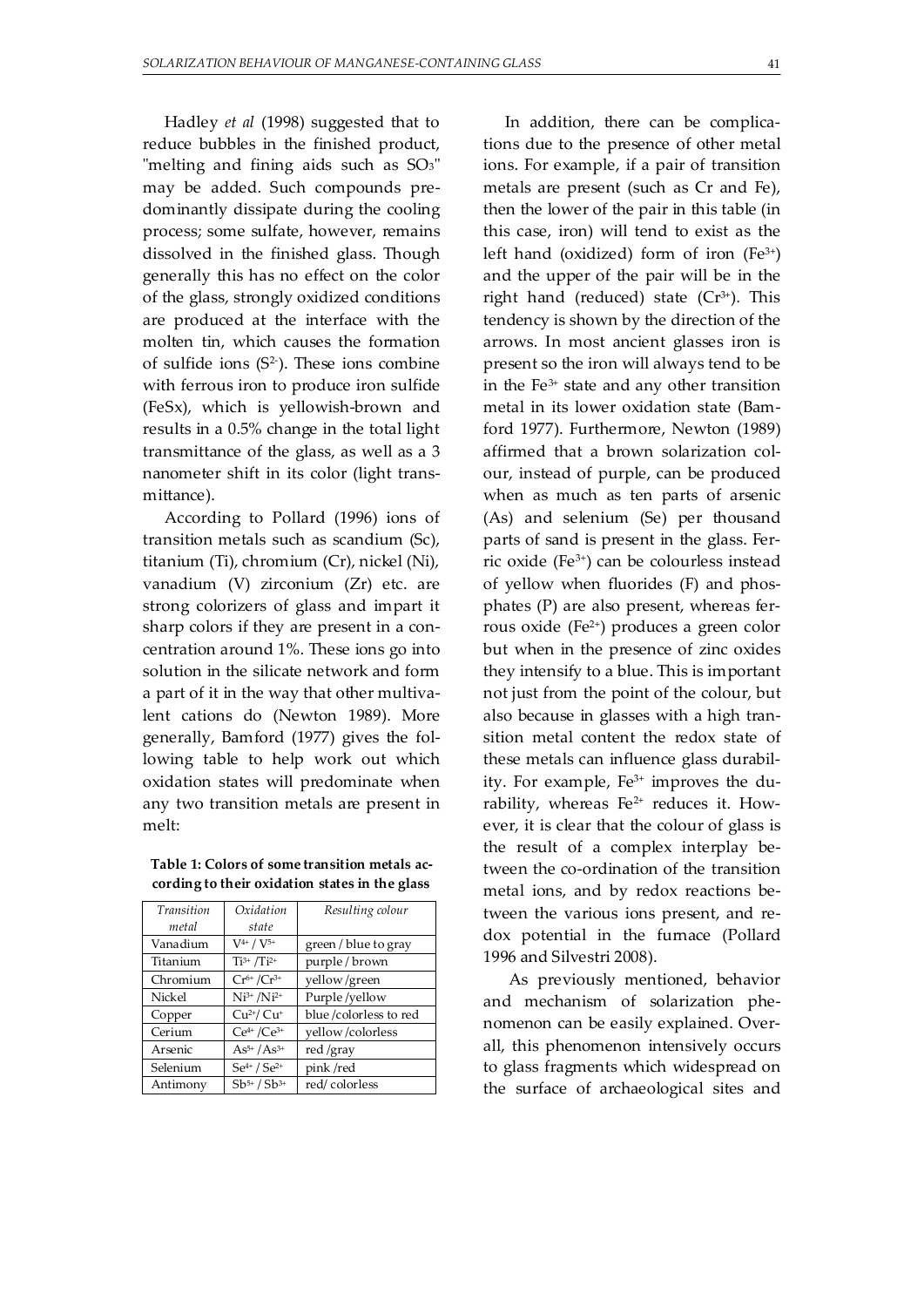Hadley *et al* (1998) suggested that to reduce bubbles in the finished product, "melting and fining aids such as SO<sub>3</sub>" may be added. Such compounds predominantly dissipate during the cooling process; some sulfate, however, remains dissolved in the finished glass. Though generally this has no effect on the color of the glass, strongly oxidized conditions are produced at the interface with the molten tin, which causes the formation of sulfide ions  $(S^2)$ . These ions combine with ferrous iron to produce iron sulfide (FeSx), which is yellowish-brown and results in a 0.5% change in the total light transmittance of the glass, as well as a 3 nanometer shift in its color (light transmittance).

According to Pollard (1996) ions of transition metals such as scandium (Sc), titanium (Ti), chromium (Cr), nickel (Ni), vanadium (V) zirconium (Zr) etc. are strong colorizers of glass and impart it sharp colors if they are present in a concentration around 1%. These ions go into solution in the silicate network and form a part of it in the way that other multivalent cations do (Newton 1989). More generally, Bamford (1977) gives the following table to help work out which oxidation states will predominate when any two transition metals are present in melt:

**Table 1: Colors of some transition metals according to their oxidation states in the glass** 

| Transition | Oxidation           | Resulting colour      |
|------------|---------------------|-----------------------|
| metal      | state               |                       |
| Vanadium   | $V^{4+} / V^{5+}$   | green / blue to gray  |
| Titanium   | $Ti^{3+} / Ti^{2+}$ | purple/brown          |
| Chromium   | $Cr^{6+}/Cr^{3+}$   | yellow/green          |
| Nickel     | $Ni^{3+} / Ni^{2+}$ | Purple/yellow         |
| Copper     | $Cu2+/ Cu+$         | blue/colorless to red |
| Cerium     | $Ce^{4+}/Ce^{3+}$   | yellow/colorless      |
| Arsenic    | $As^{5+}/As^{3+}$   | red /gray             |
| Selenium   | $Se^{4+} / Se^{2+}$ | pink/red              |
| Antimony   | $Sb^{5+} / Sb^{3+}$ | red/colorless         |

In addition, there can be complications due to the presence of other metal ions. For example, if a pair of transition metals are present (such as Cr and Fe), then the lower of the pair in this table (in this case, iron) will tend to exist as the left hand (oxidized) form of iron  $(Fe^{3+})$ and the upper of the pair will be in the right hand (reduced) state  $(Cr^{3+})$ . This tendency is shown by the direction of the arrows. In most ancient glasses iron is present so the iron will always tend to be in the  $Fe<sup>3+</sup>$  state and any other transition metal in its lower oxidation state (Bamford 1977). Furthermore, Newton (1989) affirmed that a brown solarization colour, instead of purple, can be produced when as much as ten parts of arsenic (As) and selenium (Se) per thousand parts of sand is present in the glass. Ferric oxide (Fe3+) can be colourless instead of yellow when fluorides (F) and phosphates (P) are also present, whereas ferrous oxide (Fe2+) produces a green color but when in the presence of zinc oxides they intensify to a blue. This is important not just from the point of the colour, but also because in glasses with a high transition metal content the redox state of these metals can influence glass durability. For example, Fe3+ improves the durability, whereas Fe<sup>2+</sup> reduces it. However, it is clear that the colour of glass is the result of a complex interplay between the co-ordination of the transition metal ions, and by redox reactions between the various ions present, and redox potential in the furnace (Pollard 1996 and Silvestri 2008).

 As previously mentioned, behavior and mechanism of solarization phenomenon can be easily explained. Overall, this phenomenon intensively occurs to glass fragments which widespread on the surface of archaeological sites and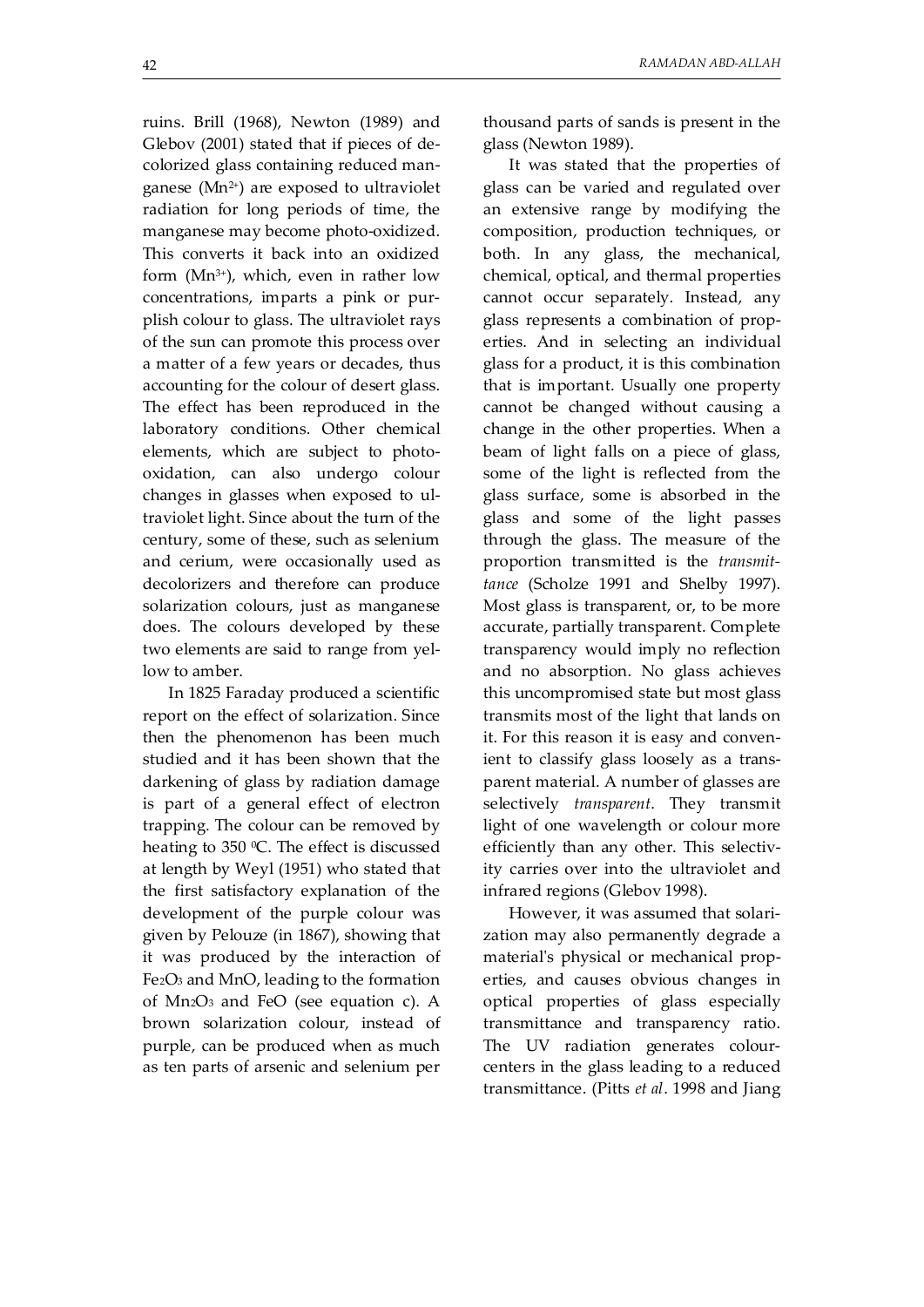ruins. Brill (1968), Newton (1989) and Glebov (2001) stated that if pieces of decolorized glass containing reduced manganese  $(Mn^{2+})$  are exposed to ultraviolet radiation for long periods of time, the manganese may become photo-oxidized. This converts it back into an oxidized form  $(Mn^{3+})$ , which, even in rather low concentrations, imparts a pink or purplish colour to glass. The ultraviolet rays of the sun can promote this process over a matter of a few years or decades, thus accounting for the colour of desert glass. The effect has been reproduced in the laboratory conditions. Other chemical elements, which are subject to photooxidation, can also undergo colour changes in glasses when exposed to ultraviolet light. Since about the turn of the century, some of these, such as selenium and cerium, were occasionally used as decolorizers and therefore can produce solarization colours, just as manganese does. The colours developed by these two elements are said to range from yellow to amber.

 In 1825 Faraday produced a scientific report on the effect of solarization. Since then the phenomenon has been much studied and it has been shown that the darkening of glass by radiation damage is part of a general effect of electron trapping. The colour can be removed by heating to  $350$  °C. The effect is discussed at length by Weyl (1951) who stated that the first satisfactory explanation of the development of the purple colour was given by Pelouze (in 1867), showing that it was produced by the interaction of Fe2O3 and MnO, leading to the formation of Mn2O3 and FeO (see equation c). A brown solarization colour, instead of purple, can be produced when as much as ten parts of arsenic and selenium per thousand parts of sands is present in the glass (Newton 1989).

 It was stated that the properties of glass can be varied and regulated over an extensive range by modifying the composition, production techniques, or both. In any glass, the mechanical, chemical, optical, and thermal properties cannot occur separately. Instead, any glass represents a combination of properties. And in selecting an individual glass for a product, it is this combination that is important. Usually one property cannot be changed without causing a change in the other properties. When a beam of light falls on a piece of glass, some of the light is reflected from the glass surface, some is absorbed in the glass and some of the light passes through the glass. The measure of the proportion transmitted is the *transmittance* (Scholze 1991 and Shelby 1997). Most glass is transparent, or, to be more accurate, partially transparent. Complete transparency would imply no reflection and no absorption. No glass achieves this uncompromised state but most glass transmits most of the light that lands on it. For this reason it is easy and convenient to classify glass loosely as a transparent material. A number of glasses are selectively *transparent*. They transmit light of one wavelength or colour more efficiently than any other. This selectivity carries over into the ultraviolet and infrared regions (Glebov 1998).

 However, it was assumed that solarization may also permanently degrade a material's physical or mechanical properties, and causes obvious changes in optical properties of glass especially transmittance and transparency ratio. The UV radiation generates colourcenters in the glass leading to a reduced transmittance. (Pitts *et al*. 1998 and Jiang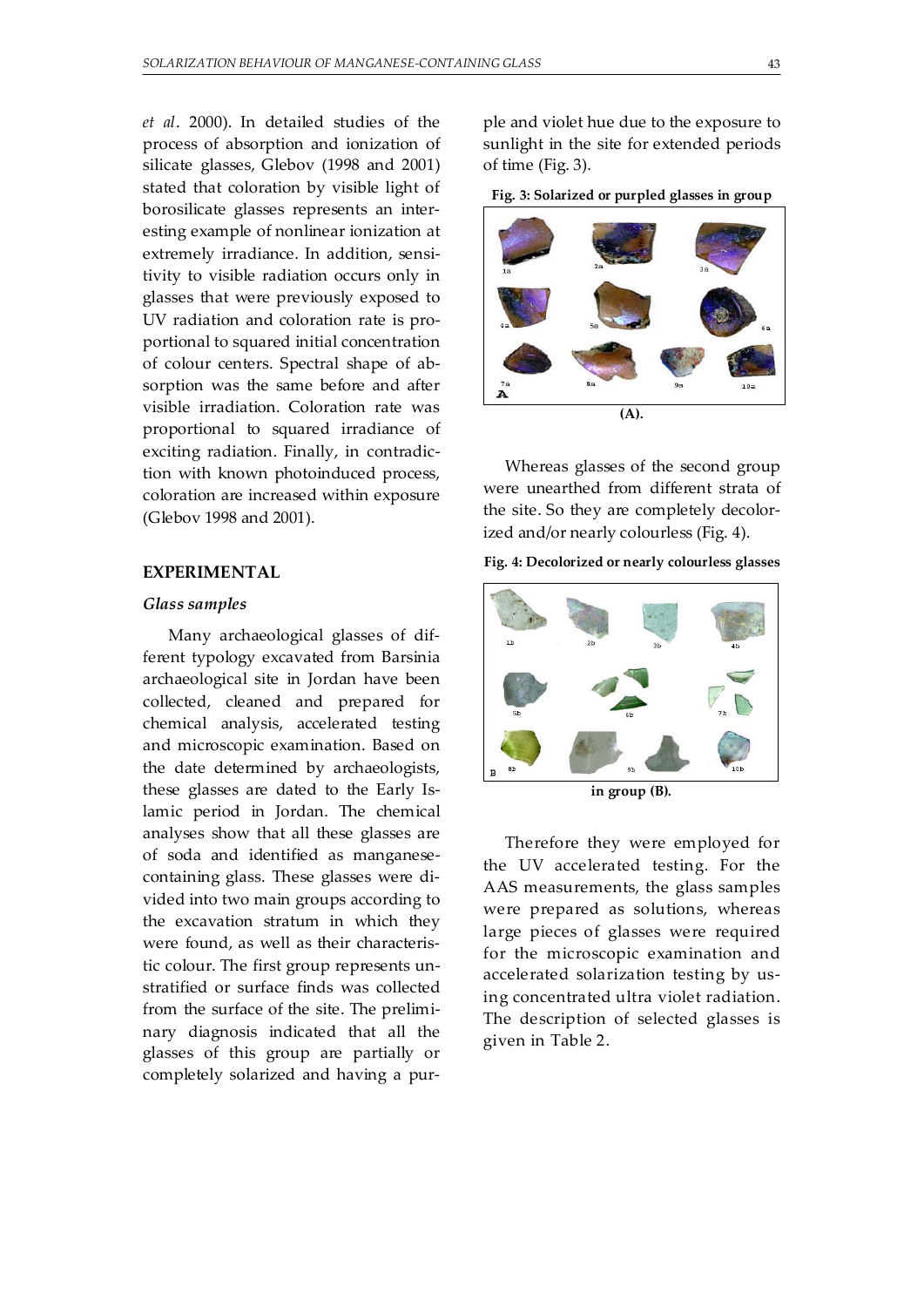*et al*. 2000). In detailed studies of the process of absorption and ionization of silicate glasses, Glebov (1998 and 2001) stated that coloration by visible light of borosilicate glasses represents an interesting example of nonlinear ionization at extremely irradiance. In addition, sensitivity to visible radiation occurs only in glasses that were previously exposed to UV radiation and coloration rate is proportional to squared initial concentration of colour centers. Spectral shape of absorption was the same before and after visible irradiation. Coloration rate was proportional to squared irradiance of exciting radiation. Finally, in contradiction with known photoinduced process, coloration are increased within exposure (Glebov 1998 and 2001).

#### **EXPERIMENTAL**

#### *Glass samples*

 Many archaeological glasses of different typology excavated from Barsinia archaeological site in Jordan have been collected, cleaned and prepared for chemical analysis, accelerated testing and microscopic examination. Based on the date determined by archaeologists, these glasses are dated to the Early Islamic period in Jordan. The chemical analyses show that all these glasses are of soda and identified as manganesecontaining glass. These glasses were divided into two main groups according to the excavation stratum in which they were found, as well as their characteristic colour. The first group represents unstratified or surface finds was collected from the surface of the site. The preliminary diagnosis indicated that all the glasses of this group are partially or completely solarized and having a purple and violet hue due to the exposure to sunlight in the site for extended periods of time (Fig. 3).

**Fig. 3: Solarized or purpled glasses in group** 



Whereas glasses of the second group were unearthed from different strata of the site. So they are completely decolorized and/or nearly colourless (Fig. 4).

#### **Fig. 4: Decolorized or nearly colourless glasses**



**in group (B).** 

Therefore they were employed for the UV accelerated testing. For the AAS measurements, the glass samples were prepared as solutions, whereas large pieces of glasses were required for the microscopic examination and accelerated solarization testing by using concentrated ultra violet radiation. The description of selected glasses is given in Table 2.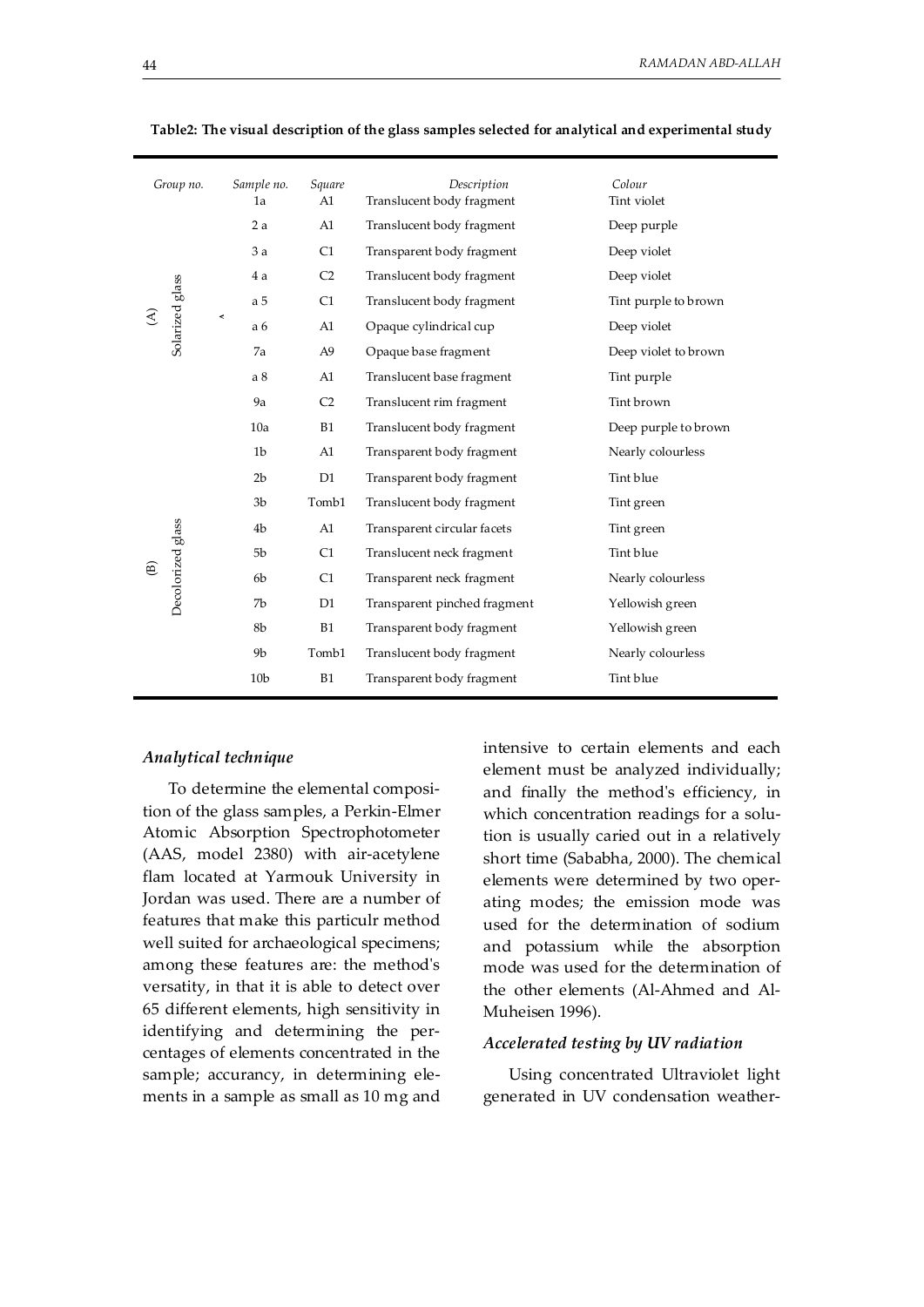| Sample no.<br>Group no.<br>Square<br>Translucent body fragment<br>Tint violet<br>1a<br>A1 |  |
|-------------------------------------------------------------------------------------------|--|
|                                                                                           |  |
| 2a<br>A1<br>Translucent body fragment<br>Deep purple                                      |  |
| 3a<br>Transparent body fragment<br>Deep violet<br>C1                                      |  |
| C <sub>2</sub><br>Translucent body fragment<br>Deep violet<br>4 a                         |  |
| C1<br>a 5<br>Translucent body fragment<br>Tint purple to brown                            |  |
| Solarized glass<br>≺<br>A1<br>Opaque cylindrical cup<br>a 6<br>Deep violet                |  |
| Opaque base fragment<br>Deep violet to brown<br>7a<br>A <sub>9</sub>                      |  |
| a <sub>8</sub><br>Translucent base fragment<br>A1<br>Tint purple                          |  |
| Tint brown<br>9a<br>C <sub>2</sub><br>Translucent rim fragment                            |  |
| 10a<br>B1<br>Translucent body fragment<br>Deep purple to brown                            |  |
| 1 <sub>b</sub><br>Transparent body fragment<br>Nearly colourless<br>A1                    |  |
| 2 <sub>b</sub><br>Tint blue<br>D <sub>1</sub><br>Transparent body fragment                |  |
| Tomb1<br>3 <sub>b</sub><br>Translucent body fragment<br>Tint green                        |  |
| 4 <sub>b</sub><br>A1<br>Transparent circular facets<br>Tint green                         |  |
| Decolorized glass<br>Translucent neck fragment<br>Tint blue<br>5 <sub>b</sub><br>C1       |  |
| $\widehat{\mathbb{E}}$<br>C1<br>Transparent neck fragment<br>Nearly colourless<br>6b      |  |
| Transparent pinched fragment<br>7b<br>D <sub>1</sub><br>Yellowish green                   |  |
| 8b<br><b>B1</b><br>Transparent body fragment<br>Yellowish green                           |  |
| Tomb1<br>Translucent body fragment<br>Nearly colourless<br>9 <sub>b</sub>                 |  |
| B1<br>Tint blue<br>10 <sub>b</sub><br>Transparent body fragment                           |  |

**Table2: The visual description of the glass samples selected for analytical and experimental study** 

#### *Analytical technique*

 To determine the elemental composition of the glass samples, a Perkin-Elmer Atomic Absorption Spectrophotometer (AAS, model 2380) with air-acetylene flam located at Yarmouk University in Jordan was used. There are a number of features that make this particulr method well suited for archaeological specimens; among these features are: the method's versatity, in that it is able to detect over 65 different elements, high sensitivity in identifying and determining the percentages of elements concentrated in the sample; accurancy, in determining elements in a sample as small as 10 mg and

intensive to certain elements and each element must be analyzed individually; and finally the method's efficiency, in which concentration readings for a solution is usually caried out in a relatively short time (Sababha, 2000). The chemical elements were determined by two operating modes; the emission mode was used for the determination of sodium and potassium while the absorption mode was used for the determination of the other elements (Al-Ahmed and Al-Muheisen 1996).

#### *Accelerated testing by UV radiation*

 Using concentrated Ultraviolet light generated in UV condensation weather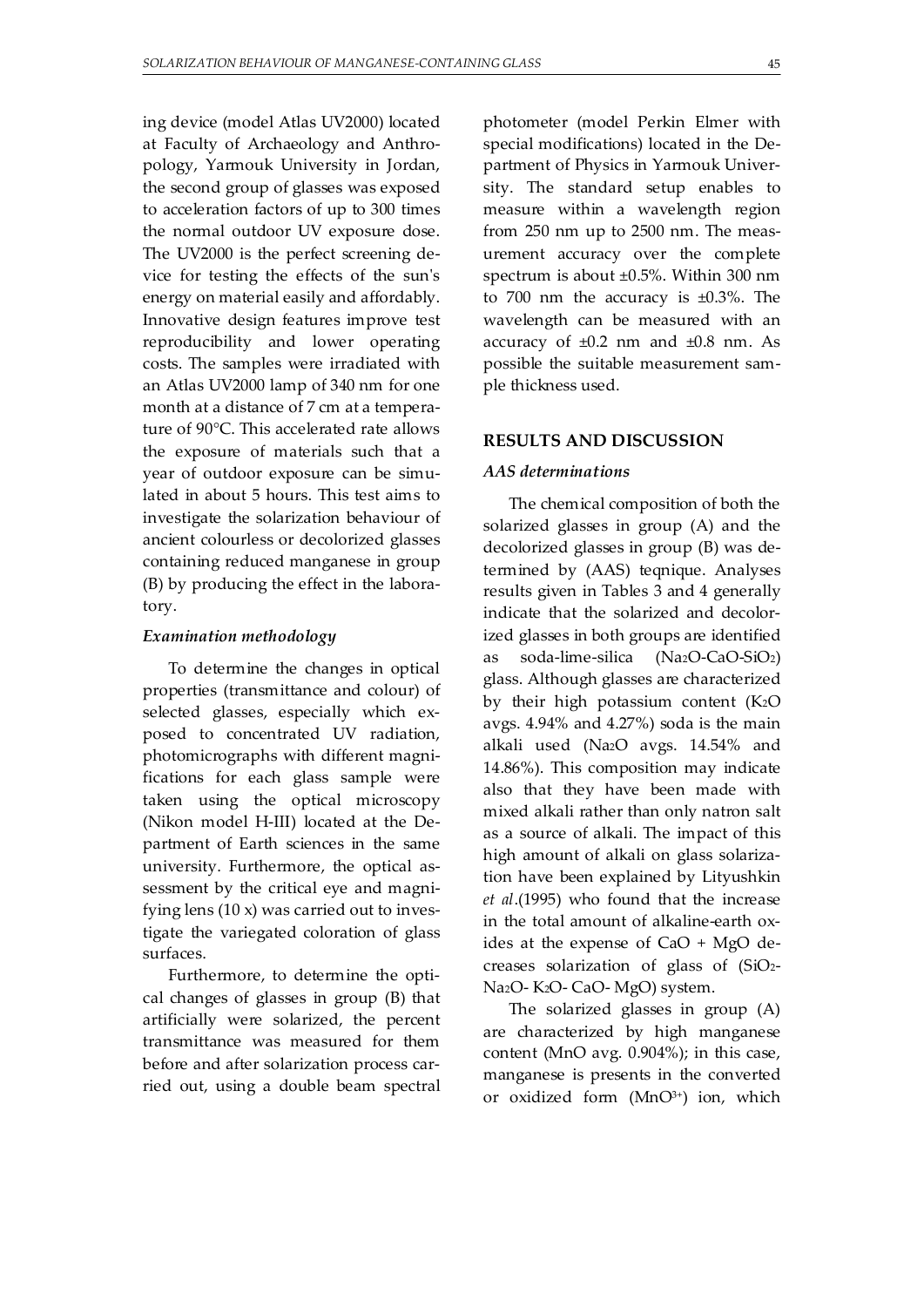ing device (model Atlas UV2000) located at Faculty of Archaeology and Anthropology, Yarmouk University in Jordan, the second group of glasses was exposed to acceleration factors of up to 300 times the normal outdoor UV exposure dose. The UV2000 is the perfect screening device for testing the effects of the sun's energy on material easily and affordably. Innovative design features improve test reproducibility and lower operating costs. The samples were irradiated with an Atlas UV2000 lamp of 340 nm for one month at a distance of 7 cm at a temperature of 90°C. This accelerated rate allows the exposure of materials such that a year of outdoor exposure can be simulated in about 5 hours. This test aims to investigate the solarization behaviour of ancient colourless or decolorized glasses containing reduced manganese in group (B) by producing the effect in the laboratory.

#### *Examination methodology*

 To determine the changes in optical properties (transmittance and colour) of selected glasses, especially which exposed to concentrated UV radiation, photomicrographs with different magnifications for each glass sample were taken using the optical microscopy (Nikon model H-III) located at the Department of Earth sciences in the same university. Furthermore, the optical assessment by the critical eye and magnifying lens (10 x) was carried out to investigate the variegated coloration of glass surfaces.

 Furthermore, to determine the optical changes of glasses in group (B) that artificially were solarized, the percent transmittance was measured for them before and after solarization process carried out, using a double beam spectral photometer (model Perkin Elmer with special modifications) located in the Department of Physics in Yarmouk University. The standard setup enables to measure within a wavelength region from 250 nm up to 2500 nm. The measurement accuracy over the complete spectrum is about ±0.5%. Within 300 nm to 700 nm the accuracy is  $\pm 0.3$ %. The wavelength can be measured with an accuracy of  $\pm 0.2$  nm and  $\pm 0.8$  nm. As possible the suitable measurement sample thickness used.

#### **RESULTS AND DISCUSSION**

#### *AAS determinations*

 The chemical composition of both the solarized glasses in group (A) and the decolorized glasses in group (B) was determined by (AAS) teqnique. Analyses results given in Tables 3 and 4 generally indicate that the solarized and decolorized glasses in both groups are identified as soda-lime-silica (Na2O-CaO-SiO2) glass. Although glasses are characterized by their high potassium content (K2O avgs. 4.94% and 4.27%) soda is the main alkali used (Na2O avgs. 14.54% and 14.86%). This composition may indicate also that they have been made with mixed alkali rather than only natron salt as a source of alkali. The impact of this high amount of alkali on glass solarization have been explained by Lityushkin *et al*.(1995) who found that the increase in the total amount of alkaline-earth oxides at the expense of CaO + MgO decreases solarization of glass of (SiO2- Na2O- K2O- CaO- MgO) system.

 The solarized glasses in group (A) are characterized by high manganese content (MnO avg. 0.904%); in this case, manganese is presents in the converted or oxidized form  $(MnO<sup>3+</sup>)$  ion, which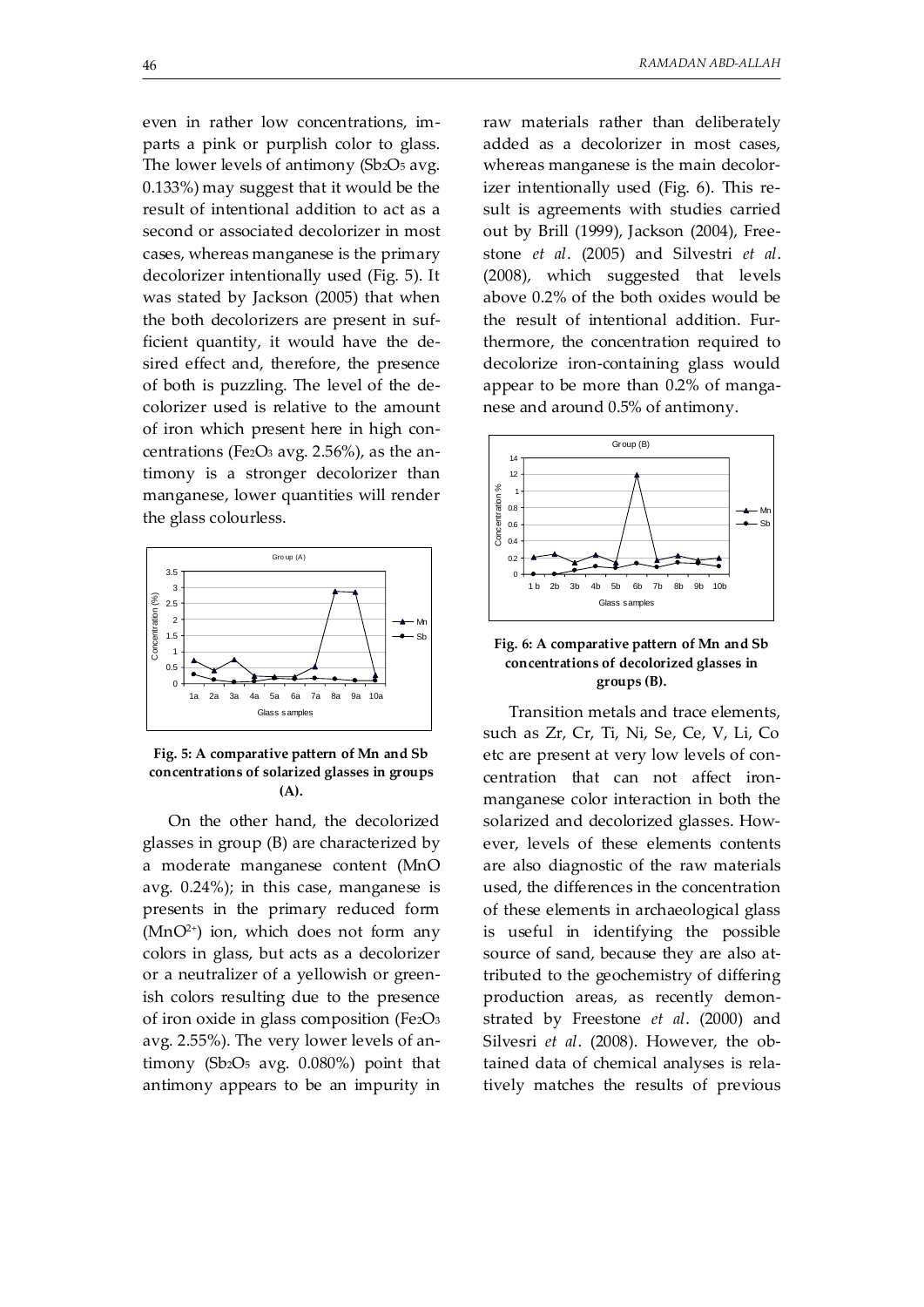even in rather low concentrations, imparts a pink or purplish color to glass. The lower levels of antimony (Sb2O<sub>5</sub> avg. 0.133%) may suggest that it would be the result of intentional addition to act as a second or associated decolorizer in most cases, whereas manganese is the primary decolorizer intentionally used (Fig. 5). It was stated by Jackson (2005) that when the both decolorizers are present in sufficient quantity, it would have the desired effect and, therefore, the presence of both is puzzling. The level of the decolorizer used is relative to the amount of iron which present here in high concentrations (Fe $2$ O<sub>3</sub> avg. 2.56%), as the antimony is a stronger decolorizer than manganese, lower quantities will render the glass colourless.





 On the other hand, the decolorized glasses in group (B) are characterized by a moderate manganese content (MnO avg. 0.24%); in this case, manganese is presents in the primary reduced form  $(MnO<sup>2+</sup>)$  ion, which does not form any colors in glass, but acts as a decolorizer or a neutralizer of a yellowish or greenish colors resulting due to the presence of iron oxide in glass composition (Fe2O3 avg. 2.55%). The very lower levels of antimony (Sb2O5 avg. 0.080%) point that antimony appears to be an impurity in raw materials rather than deliberately added as a decolorizer in most cases, whereas manganese is the main decolorizer intentionally used (Fig. 6). This result is agreements with studies carried out by Brill (1999), Jackson (2004), Freestone *et al*. (2005) and Silvestri *et al*. (2008), which suggested that levels above 0.2% of the both oxides would be the result of intentional addition. Furthermore, the concentration required to decolorize iron-containing glass would appear to be more than 0.2% of manganese and around 0.5% of antimony.



#### **Fig. 6: A comparative pattern of Mn and Sb concentrations of decolorized glasses in groups (B).**

 Transition metals and trace elements, such as Zr, Cr, Ti, Ni, Se, Ce, V, Li, Co etc are present at very low levels of concentration that can not affect ironmanganese color interaction in both the solarized and decolorized glasses. However, levels of these elements contents are also diagnostic of the raw materials used, the differences in the concentration of these elements in archaeological glass is useful in identifying the possible source of sand, because they are also attributed to the geochemistry of differing production areas, as recently demonstrated by Freestone *et al*. (2000) and Silvesri *et al*. (2008). However, the obtained data of chemical analyses is relatively matches the results of previous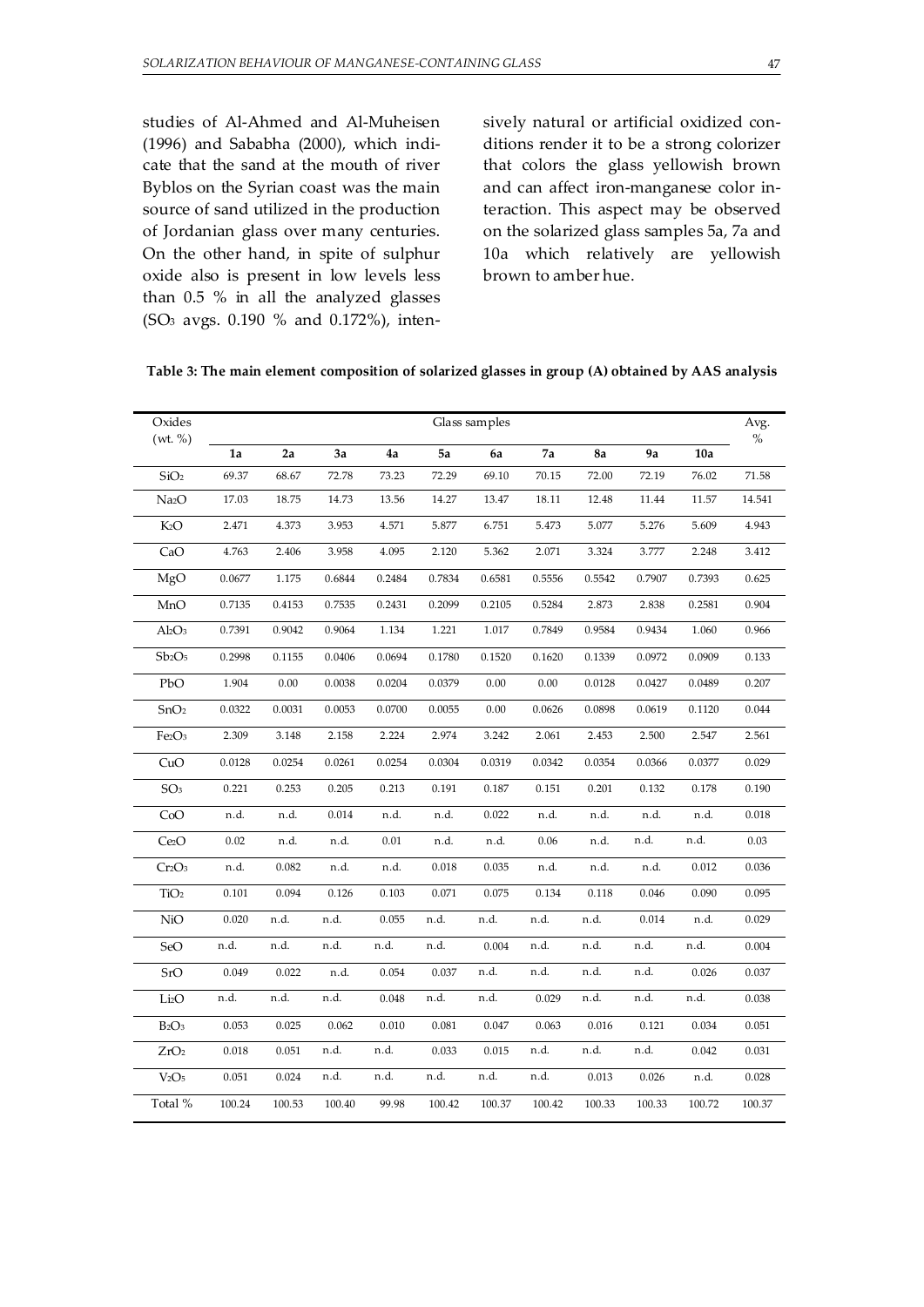studies of Al-Ahmed and Al-Muheisen (1996) and Sababha (2000), which indicate that the sand at the mouth of river Byblos on the Syrian coast was the main source of sand utilized in the production of Jordanian glass over many centuries. On the other hand, in spite of sulphur oxide also is present in low levels less than 0.5 % in all the analyzed glasses (SO3 avgs. 0.190 % and 0.172%), intensively natural or artificial oxidized conditions render it to be a strong colorizer that colors the glass yellowish brown and can affect iron-manganese color interaction. This aspect may be observed on the solarized glass samples 5a, 7a and 10a which relatively are yellowish brown to amber hue.

| Table 3: The main element composition of solarized glasses in group (A) obtained by AAS analysis |  |  |  |  |  |
|--------------------------------------------------------------------------------------------------|--|--|--|--|--|
|                                                                                                  |  |  |  |  |  |

| Oxides<br>(wt. % )            | Glass samples |        |        |          |        |           |        |        | Avg.<br>$\%$ |        |        |
|-------------------------------|---------------|--------|--------|----------|--------|-----------|--------|--------|--------------|--------|--------|
|                               | 1a            | 2a     | 3a     | 4a       | 5a     | 6a        | 7a     | 8a     | 9a           | 10a    |        |
| SiO <sub>2</sub>              | 69.37         | 68.67  | 72.78  | 73.23    | 72.29  | 69.10     | 70.15  | 72.00  | 72.19        | 76.02  | 71.58  |
| Na <sub>2</sub> O             | 17.03         | 18.75  | 14.73  | 13.56    | 14.27  | 13.47     | 18.11  | 12.48  | 11.44        | 11.57  | 14.541 |
| K2O                           | 2.471         | 4.373  | 3.953  | 4.571    | 5.877  | 6.751     | 5.473  | 5.077  | 5.276        | 5.609  | 4.943  |
| CaO                           | 4.763         | 2.406  | 3.958  | 4.095    | 2.120  | 5.362     | 2.071  | 3.324  | 3.777        | 2.248  | 3.412  |
| MgO                           | 0.0677        | 1.175  | 0.6844 | 0.2484   | 0.7834 | 0.6581    | 0.5556 | 0.5542 | 0.7907       | 0.7393 | 0.625  |
| MnO                           | 0.7135        | 0.4153 | 0.7535 | 0.2431   | 0.2099 | 0.2105    | 0.5284 | 2.873  | 2.838        | 0.2581 | 0.904  |
| $Al_2O_3$                     | 0.7391        | 0.9042 | 0.9064 | 1.134    | 1.221  | $1.017\,$ | 0.7849 | 0.9584 | 0.9434       | 1.060  | 0.966  |
| $Sb_2O_5$                     | 0.2998        | 0.1155 | 0.0406 | 0.0694   | 0.1780 | 0.1520    | 0.1620 | 0.1339 | 0.0972       | 0.0909 | 0.133  |
| PbO                           | 1.904         | 0.00   | 0.0038 | 0.0204   | 0.0379 | 0.00      | 0.00   | 0.0128 | 0.0427       | 0.0489 | 0.207  |
| SnO <sub>2</sub>              | 0.0322        | 0.0031 | 0.0053 | 0.0700   | 0.0055 | 0.00      | 0.0626 | 0.0898 | 0.0619       | 0.1120 | 0.044  |
| Fe2O <sub>3</sub>             | 2.309         | 3.148  | 2.158  | 2.224    | 2.974  | 3.242     | 2.061  | 2.453  | 2.500        | 2.547  | 2.561  |
| CuO                           | 0.0128        | 0.0254 | 0.0261 | 0.0254   | 0.0304 | 0.0319    | 0.0342 | 0.0354 | 0.0366       | 0.0377 | 0.029  |
| SO <sub>3</sub>               | 0.221         | 0.253  | 0.205  | 0.213    | 0.191  | 0.187     | 0.151  | 0.201  | 0.132        | 0.178  | 0.190  |
| CoO                           | n.d.          | n.d.   | 0.014  | n.d.     | n.d.   | 0.022     | n.d.   | n.d.   | n.d.         | n.d.   | 0.018  |
| Ce <sub>2</sub> O             | $0.02\,$      | n.d.   | n.d.   | $0.01\,$ | n.d.   | n.d.      | 0.06   | n.d.   | n.d.         | n.d.   | 0.03   |
| Cr2O <sub>3</sub>             | n.d.          | 0.082  | n.d.   | n.d.     | 0.018  | 0.035     | n.d.   | n.d.   | n.d.         | 0.012  | 0.036  |
| TiO <sub>2</sub>              | 0.101         | 0.094  | 0.126  | 0.103    | 0.071  | 0.075     | 0.134  | 0.118  | 0.046        | 0.090  | 0.095  |
| NiO                           | 0.020         | n.d.   | n.d.   | 0.055    | n.d.   | n.d.      | n.d.   | n.d.   | 0.014        | n.d.   | 0.029  |
| SeO                           | n.d.          | n.d.   | n.d.   | n.d.     | n.d.   | 0.004     | n.d.   | n.d.   | n.d.         | n.d.   | 0.004  |
| SrO                           | 0.049         | 0.022  | n.d.   | 0.054    | 0.037  | n.d.      | n.d.   | n.d.   | n.d.         | 0.026  | 0.037  |
| Li2O                          | n.d.          | n.d.   | n.d.   | 0.048    | n.d.   | n.d.      | 0.029  | n.d.   | n.d.         | n.d.   | 0.038  |
| $B_2O_3$                      | 0.053         | 0.025  | 0.062  | 0.010    | 0.081  | 0.047     | 0.063  | 0.016  | 0.121        | 0.034  | 0.051  |
| ZrO <sub>2</sub>              | 0.018         | 0.051  | n.d.   | n.d.     | 0.033  | 0.015     | n.d.   | n.d.   | n.d.         | 0.042  | 0.031  |
| V <sub>2</sub> O <sub>5</sub> | 0.051         | 0.024  | n.d.   | n.d.     | n.d.   | n.d.      | n.d.   | 0.013  | 0.026        | n.d.   | 0.028  |
| Total %                       | 100.24        | 100.53 | 100.40 | 99.98    | 100.42 | 100.37    | 100.42 | 100.33 | 100.33       | 100.72 | 100.37 |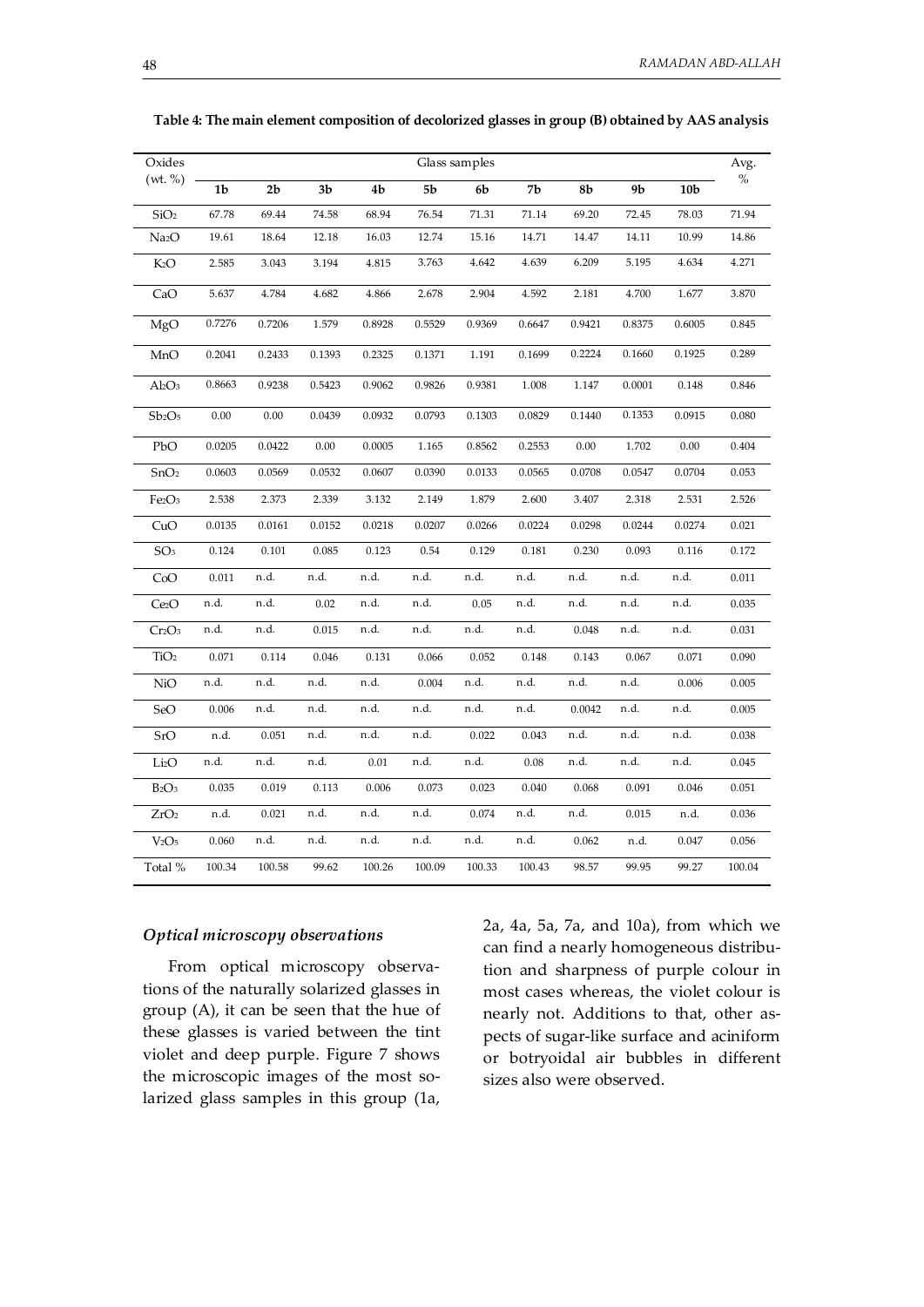| Oxides                         | Glass samples  |                |                |                |            |                |                |                | Avg.           |                 |        |
|--------------------------------|----------------|----------------|----------------|----------------|------------|----------------|----------------|----------------|----------------|-----------------|--------|
| (wt. % )                       | 1 <sub>b</sub> | 2 <sub>b</sub> | 3 <sub>b</sub> | 4 <sub>b</sub> | ${\bf 5b}$ | 6 <sub>b</sub> | 7 <sub>b</sub> | 8 <sub>b</sub> | 9 <sub>b</sub> | 10 <sub>b</sub> | $\%$   |
| SiO <sub>2</sub>               | 67.78          | 69.44          | 74.58          | 68.94          | 76.54      | 71.31          | $71.14\,$      | 69.20          | 72.45          | 78.03           | 71.94  |
| Na <sub>2</sub> O              | 19.61          | 18.64          | 12.18          | 16.03          | 12.74      | 15.16          | 14.71          | 14.47          | 14.11          | 10.99           | 14.86  |
| K2O                            | 2.585          | 3.043          | 3.194          | 4.815          | 3.763      | 4.642          | 4.639          | 6.209          | 5.195          | 4.634           | 4.271  |
| CaO                            | 5.637          | 4.784          | 4.682          | 4.866          | 2.678      | 2.904          | 4.592          | 2.181          | 4.700          | 1.677           | 3.870  |
| MgO                            | 0.7276         | 0.7206         | 1.579          | 0.8928         | 0.5529     | 0.9369         | 0.6647         | 0.9421         | 0.8375         | 0.6005          | 0.845  |
| MnO                            | 0.2041         | 0.2433         | 0.1393         | 0.2325         | 0.1371     | 1.191          | 0.1699         | 0.2224         | 0.1660         | 0.1925          | 0.289  |
| $Al_2O_3$                      | 0.8663         | 0.9238         | 0.5423         | 0.9062         | 0.9826     | 0.9381         | 1.008          | 1.147          | 0.0001         | 0.148           | 0.846  |
| Sb <sub>2</sub> O <sub>5</sub> | 0.00           | 0.00           | 0.0439         | 0.0932         | 0.0793     | 0.1303         | 0.0829         | 0.1440         | 0.1353         | 0.0915          | 0.080  |
| PbO                            | 0.0205         | 0.0422         | 0.00           | 0.0005         | 1.165      | 0.8562         | 0.2553         | 0.00           | 1.702          | 0.00            | 0.404  |
| SnO <sub>2</sub>               | 0.0603         | 0.0569         | 0.0532         | 0.0607         | 0.0390     | 0.0133         | 0.0565         | 0.0708         | 0.0547         | 0.0704          | 0.053  |
| Fe <sub>2</sub> O <sub>3</sub> | 2.538          | 2.373          | 2.339          | 3.132          | 2.149      | 1.879          | 2.600          | 3.407          | 2.318          | 2.531           | 2.526  |
| CuO                            | 0.0135         | 0.0161         | 0.0152         | 0.0218         | 0.0207     | 0.0266         | 0.0224         | 0.0298         | 0.0244         | 0.0274          | 0.021  |
| SO <sub>3</sub>                | 0.124          | 0.101          | 0.085          | 0.123          | 0.54       | 0.129          | 0.181          | 0.230          | 0.093          | 0.116           | 0.172  |
| CoO                            | 0.011          | n.d.           | n.d.           | n.d.           | n.d.       | n.d.           | n.d.           | n.d.           | n.d.           | n.d.            | 0.011  |
| Ce <sub>2</sub> O              | n.d.           | n.d.           | 0.02           | n.d.           | n.d.       | 0.05           | n.d.           | n.d.           | n.d.           | n.d.            | 0.035  |
| Cr2O <sub>3</sub>              | n.d.           | n.d.           | 0.015          | n.d.           | n.d.       | n.d.           | n.d.           | 0.048          | n.d.           | n.d.            | 0.031  |
| TiO <sub>2</sub>               | 0.071          | 0.114          | 0.046          | 0.131          | 0.066      | 0.052          | 0.148          | 0.143          | 0.067          | 0.071           | 0.090  |
| NiO                            | n.d.           | n.d.           | n.d.           | n.d.           | 0.004      | n.d.           | n.d.           | n.d.           | n.d.           | 0.006           | 0.005  |
| SeO                            | 0.006          | n.d.           | n.d.           | n.d.           | n.d.       | n.d.           | n.d.           | 0.0042         | n.d.           | n.d.            | 0.005  |
| SrO                            | n.d.           | 0.051          | n.d.           | n.d.           | n.d.       | 0.022          | 0.043          | n.d.           | n.d.           | n.d.            | 0.038  |
| Li <sub>2</sub> O              | n.d.           | n.d.           | n.d.           | 0.01           | n.d.       | n.d.           | 0.08           | n.d.           | n.d.           | n.d.            | 0.045  |
| $B_2O_3$                       | 0.035          | 0.019          | 0.113          | 0.006          | 0.073      | 0.023          | 0.040          | 0.068          | 0.091          | 0.046           | 0.051  |
| ZrO <sub>2</sub>               | n.d.           | 0.021          | n.d.           | n.d.           | n.d.       | 0.074          | n.d.           | n.d.           | 0.015          | n.d.            | 0.036  |
| V <sub>2</sub> O <sub>5</sub>  | 0.060          | n.d.           | n.d.           | n.d.           | n.d.       | n.d.           | n.d.           | 0.062          | n.d.           | 0.047           | 0.056  |
| Total %                        | 100.34         | 100.58         | 99.62          | 100.26         | 100.09     | 100.33         | 100.43         | 98.57          | 99.95          | 99.27           | 100.04 |

**Table 4: The main element composition of decolorized glasses in group (B) obtained by AAS analysis** 

#### *Optical microscopy observations*

 From optical microscopy observations of the naturally solarized glasses in group (A), it can be seen that the hue of these glasses is varied between the tint violet and deep purple. Figure 7 shows the microscopic images of the most solarized glass samples in this group (1a,

2a, 4a, 5a, 7a, and 10a), from which we can find a nearly homogeneous distribution and sharpness of purple colour in most cases whereas, the violet colour is nearly not. Additions to that, other aspects of sugar-like surface and aciniform or botryoidal air bubbles in different sizes also were observed.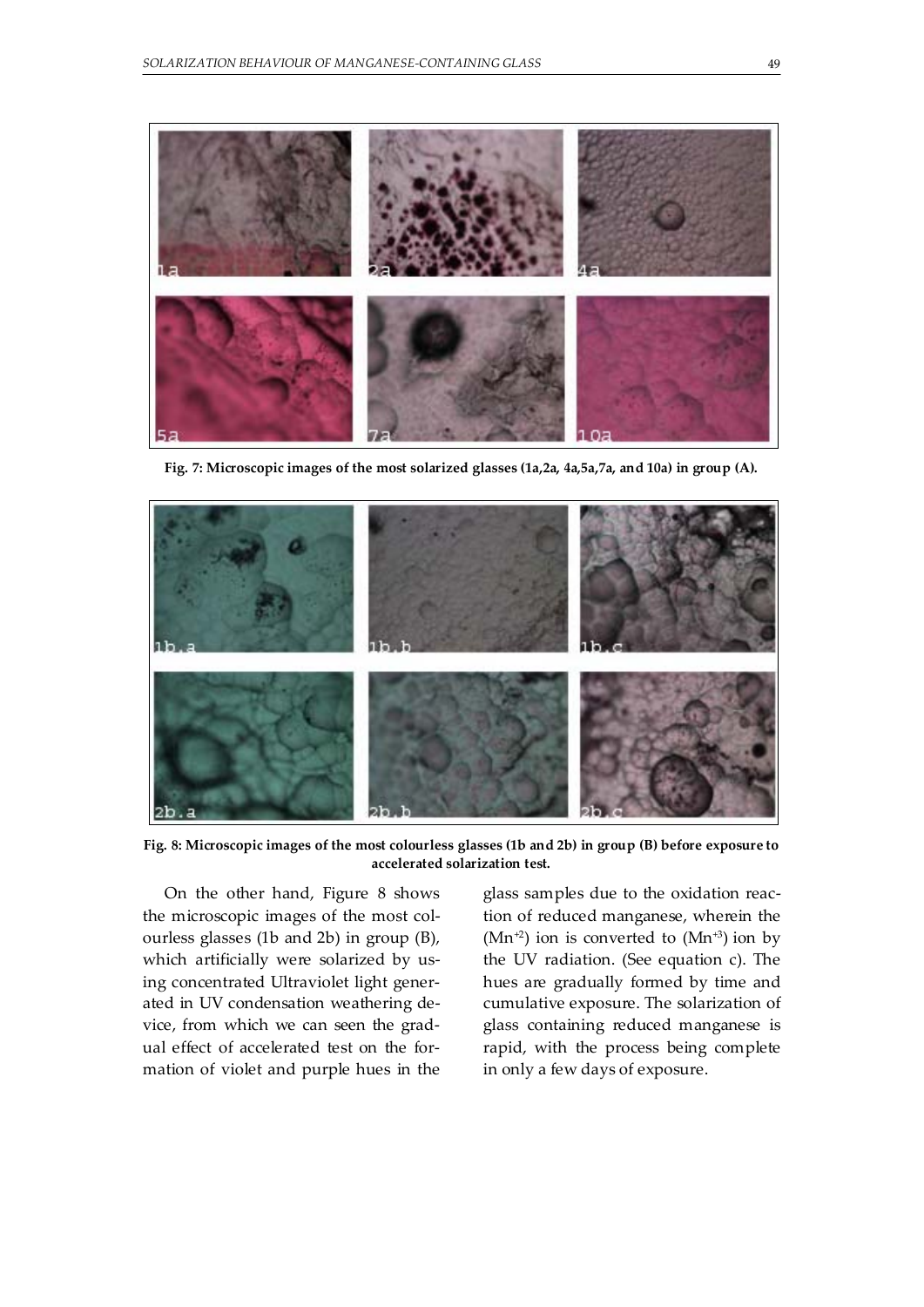

**Fig. 7: Microscopic images of the most solarized glasses (1a,2a, 4a,5a,7a, and 10a) in group (A).** 



**Fig. 8: Microscopic images of the most colourless glasses (1b and 2b) in group (B) before exposure to accelerated solarization test.** 

On the other hand, Figure 8 shows the microscopic images of the most colourless glasses (1b and 2b) in group (B), which artificially were solarized by using concentrated Ultraviolet light generated in UV condensation weathering device, from which we can seen the gradual effect of accelerated test on the formation of violet and purple hues in the glass samples due to the oxidation reaction of reduced manganese, wherein the  $(Mn^{2})$  ion is converted to  $(Mn^{3})$  ion by the UV radiation. (See equation c). The hues are gradually formed by time and cumulative exposure. The solarization of glass containing reduced manganese is rapid, with the process being complete in only a few days of exposure.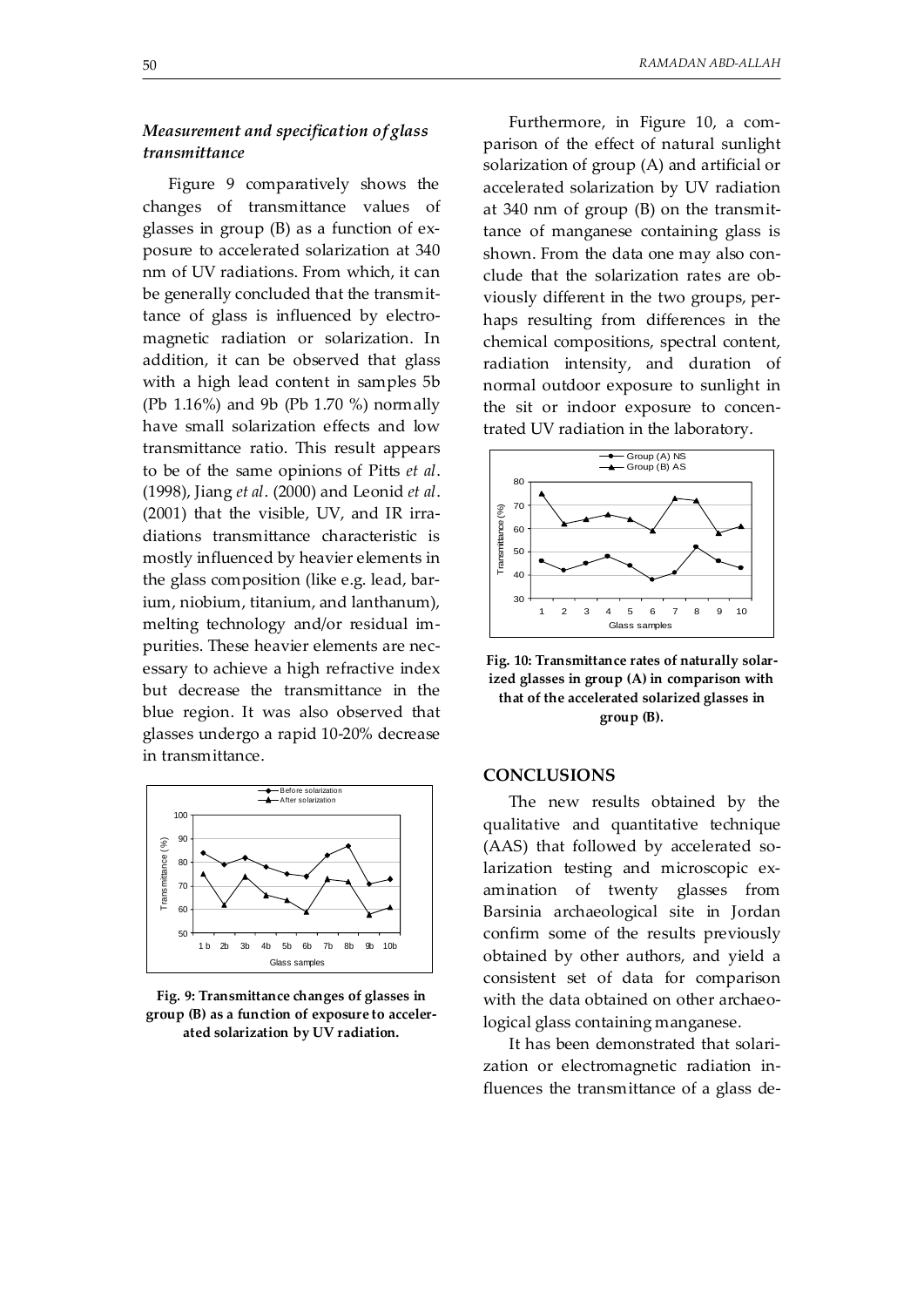# *Measurement and specification of glass transmittance*

Figure 9 comparatively shows the changes of transmittance values of glasses in group (B) as a function of exposure to accelerated solarization at 340 nm of UV radiations. From which, it can be generally concluded that the transmittance of glass is influenced by electromagnetic radiation or solarization. In addition, it can be observed that glass with a high lead content in samples 5b (Pb 1.16%) and 9b (Pb 1.70 %) normally have small solarization effects and low transmittance ratio. This result appears to be of the same opinions of Pitts *et al*. (1998), Jiang *et al*. (2000) and Leonid *et al*. (2001) that the visible, UV, and IR irradiations transmittance characteristic is mostly influenced by heavier elements in the glass composition (like e.g. lead, barium, niobium, titanium, and lanthanum), melting technology and/or residual impurities. These heavier elements are necessary to achieve a high refractive index but decrease the transmittance in the blue region. It was also observed that glasses undergo a rapid 10-20% decrease in transmittance.



**Fig. 9: Transmittance changes of glasses in group (B) as a function of exposure to accelerated solarization by UV radiation.** 

 Furthermore, in Figure 10, a comparison of the effect of natural sunlight solarization of group (A) and artificial or accelerated solarization by UV radiation at 340 nm of group (B) on the transmittance of manganese containing glass is shown. From the data one may also conclude that the solarization rates are obviously different in the two groups, perhaps resulting from differences in the chemical compositions, spectral content, radiation intensity, and duration of normal outdoor exposure to sunlight in the sit or indoor exposure to concentrated UV radiation in the laboratory.





#### **CONCLUSIONS**

 The new results obtained by the qualitative and quantitative technique (AAS) that followed by accelerated solarization testing and microscopic examination of twenty glasses from Barsinia archaeological site in Jordan confirm some of the results previously obtained by other authors, and yield a consistent set of data for comparison with the data obtained on other archaeological glass containing manganese.

 It has been demonstrated that solarization or electromagnetic radiation influences the transmittance of a glass de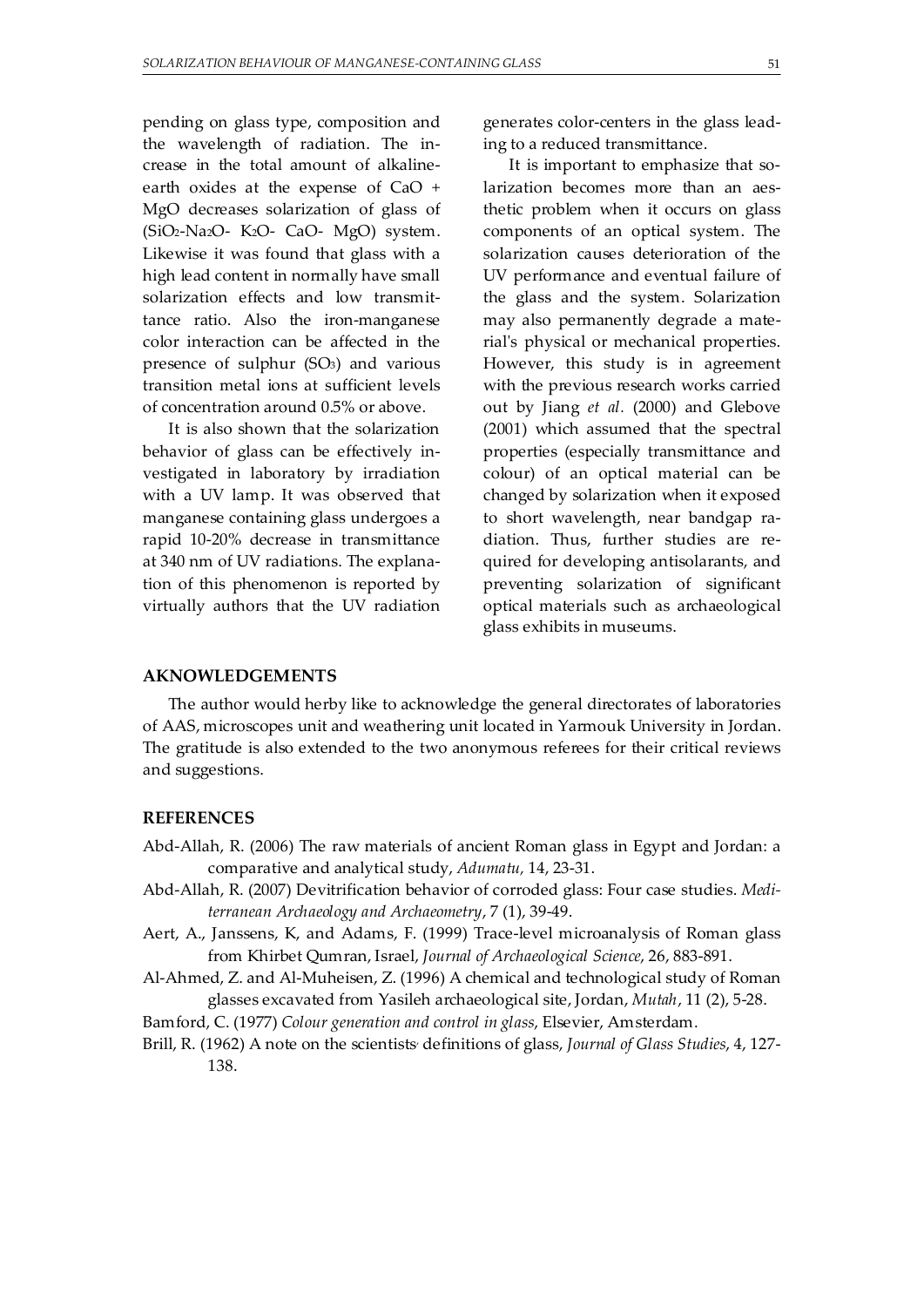pending on glass type, composition and the wavelength of radiation. The increase in the total amount of alkalineearth oxides at the expense of CaO + MgO decreases solarization of glass of (SiO2-Na2O- K2O- CaO- MgO) system. Likewise it was found that glass with a high lead content in normally have small solarization effects and low transmittance ratio. Also the iron-manganese color interaction can be affected in the presence of sulphur (SO3) and various transition metal ions at sufficient levels of concentration around 0.5% or above.

 It is also shown that the solarization behavior of glass can be effectively investigated in laboratory by irradiation with a UV lamp. It was observed that manganese containing glass undergoes a rapid 10-20% decrease in transmittance at 340 nm of UV radiations. The explanation of this phenomenon is reported by virtually authors that the UV radiation generates color-centers in the glass leading to a reduced transmittance.

 It is important to emphasize that solarization becomes more than an aesthetic problem when it occurs on glass components of an optical system. The solarization causes deterioration of the UV performance and eventual failure of the glass and the system. Solarization may also permanently degrade a material's physical or mechanical properties. However, this study is in agreement with the previous research works carried out by Jiang *et al.* (2000) and Glebove (2001) which assumed that the spectral properties (especially transmittance and colour) of an optical material can be changed by solarization when it exposed to short wavelength, near bandgap radiation. Thus, further studies are required for developing antisolarants, and preventing solarization of significant optical materials such as archaeological glass exhibits in museums.

#### **AKNOWLEDGEMENTS**

 The author would herby like to acknowledge the general directorates of laboratories of AAS, microscopes unit and weathering unit located in Yarmouk University in Jordan. The gratitude is also extended to the two anonymous referees for their critical reviews and suggestions.

#### **REFERENCES**

- Abd-Allah, R. (2006) The raw materials of ancient Roman glass in Egypt and Jordan: a comparative and analytical study, *Adumatu,* 14, 23-31.
- Abd-Allah, R. (2007) Devitrification behavior of corroded glass: Four case studies. *Mediterranean Archaeology and Archaeometry*, 7 (1), 39-49.
- Aert, A., Janssens, K, and Adams, F. (1999) Trace-level microanalysis of Roman glass from Khirbet Qumran, Israel, *Journal of Archaeological Science*, 26, 883-891.
- Al-Ahmed, Z. and Al-Muheisen, Z. (1996) A chemical and technological study of Roman glasses excavated from Yasileh archaeological site, Jordan, *Mutah*, 11 (2), 5-28.

Bamford, C. (1977) *Colour generation and control in glass*, Elsevier, Amsterdam.

Brill, R. (1962) A note on the scientists<sup>,</sup> definitions of glass, J*ournal of Glass Studies,* 4, 127-138.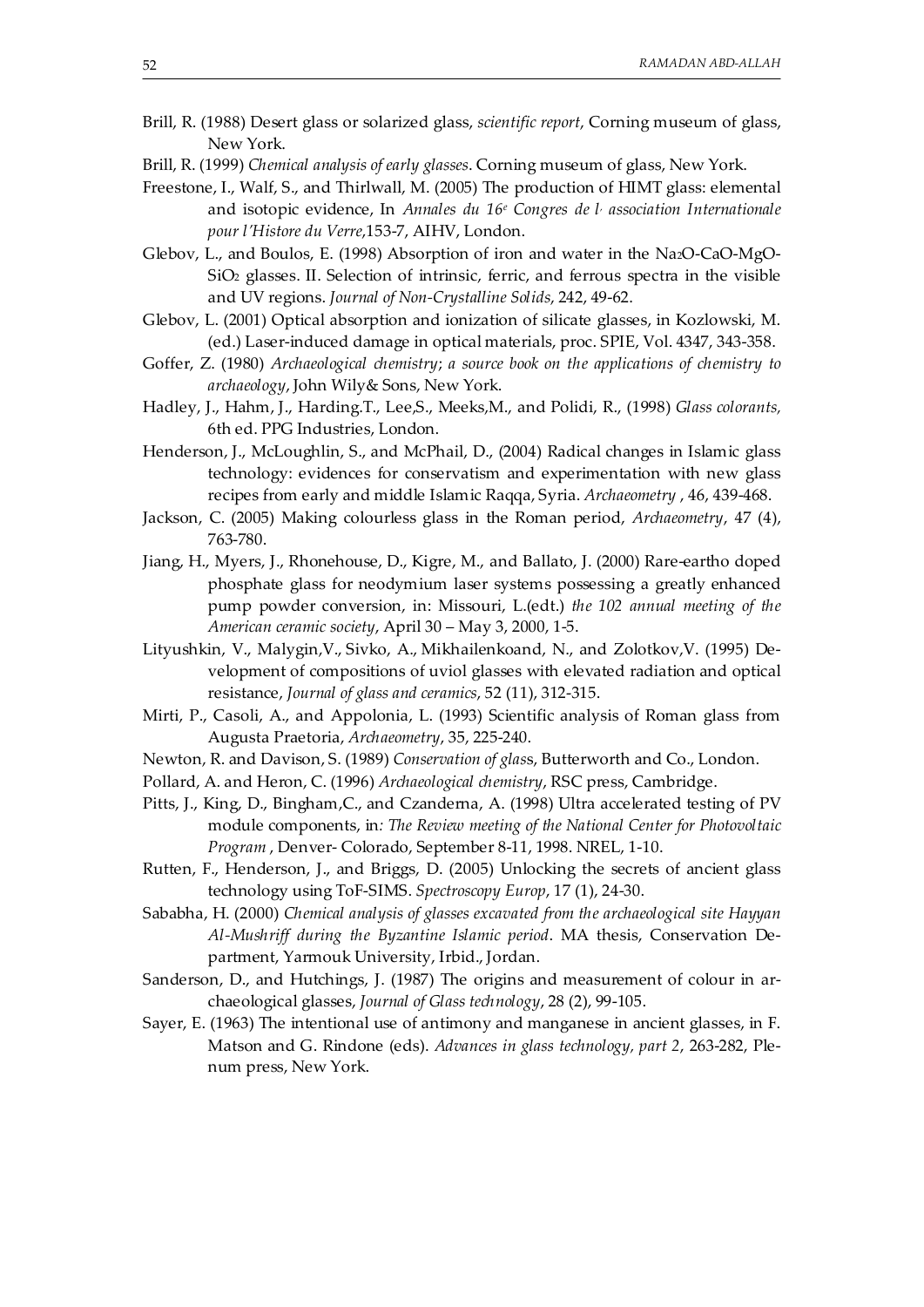- Brill, R. (1988) Desert glass or solarized glass, *scientific report*, Corning museum of glass, New York.
- Brill, R. (1999) *Chemical analysis of early glasses*. Corning museum of glass, New York.
- Freestone, I., Walf, S., and Thirlwall, M. (2005) The production of HIMT glass: elemental and isotopic evidence, In *Annales du 16e Congres de l, association Internationale pour l'Histore du Verre*,153-7, AIHV, London.
- Glebov, L., and Boulos, E. (1998) Absorption of iron and water in the Na2O-CaO-MgO-SiO2 glasses. II. Selection of intrinsic, ferric, and ferrous spectra in the visible and UV regions. *Journal of Non-Crystalline Solids*, 242, 49-62.
- Glebov, L. (2001) Optical absorption and ionization of silicate glasses, in Kozlowski, M. (ed.) Laser-induced damage in optical materials, proc. SPIE, Vol. 4347, 343-358.
- Goffer, Z. (1980) *Archaeological chemistry*; *a source book on the applications of chemistry to archaeology*, John Wily& Sons, New York.
- Hadley, J., Hahm, J., Harding.T., Lee,S., Meeks,M., and Polidi, R., (1998) *Glass colorants,*  6th ed. PPG Industries, London.
- Henderson, J., McLoughlin, S., and McPhail, D., (2004) Radical changes in Islamic glass technology: evidences for conservatism and experimentation with new glass recipes from early and middle Islamic Raqqa, Syria. *Archaeometry* , 46, 439-468.
- Jackson, C. (2005) Making colourless glass in the Roman period, *Archaeometry*, 47 (4), 763-780.
- Jiang, H., Myers, J., Rhonehouse, D., Kigre, M., and Ballato, J. (2000) Rare-eartho doped phosphate glass for neodymium laser systems possessing a greatly enhanced pump powder conversion, in: Missouri, L.(edt.) *the 102 annual meeting of the American ceramic society*, April 30 – May 3, 2000, 1-5.
- Lityushkin, V., Malygin,V., Sivko, A., Mikhailenkoand, N., and Zolotkov,V. (1995) Development of compositions of uviol glasses with elevated radiation and optical resistance, *Journal of glass and ceramics*, 52 (11), 312-315.
- Mirti, P., Casoli, A., and Appolonia, L. (1993) Scientific analysis of Roman glass from Augusta Praetoria, *Archaeometry*, 35, 225-240.
- Newton, R. and Davison, S. (1989) *Conservation of glas*s, Butterworth and Co., London.
- Pollard, A. and Heron, C. (1996) *Archaeological chemistry*, RSC press, Cambridge.
- Pitts, J., King, D., Bingham,C., and Czanderna, A. (1998) Ultra accelerated testing of PV module components, in*: The Review meeting of the National Center for Photovoltaic Program* , Denver- Colorado, September 8-11, 1998. NREL, 1-10.
- Rutten, F., Henderson, J., and Briggs, D. (2005) Unlocking the secrets of ancient glass technology using ToF-SIMS. *Spectroscopy Europ*, 17 (1), 24-30.
- Sababha, H. (2000) *Chemical analysis of glasses excavated from the archaeological site Hayyan Al-Mushriff during the Byzantine Islamic period*. MA thesis, Conservation Department, Yarmouk University, Irbid., Jordan.
- Sanderson, D., and Hutchings, J. (1987) The origins and measurement of colour in archaeological glasses, *Journal of Glass technology*, 28 (2), 99-105.
- Sayer, E. (1963) The intentional use of antimony and manganese in ancient glasses, in F. Matson and G. Rindone (eds). *Advances in glass technology, part 2*, 263-282, Plenum press, New York.